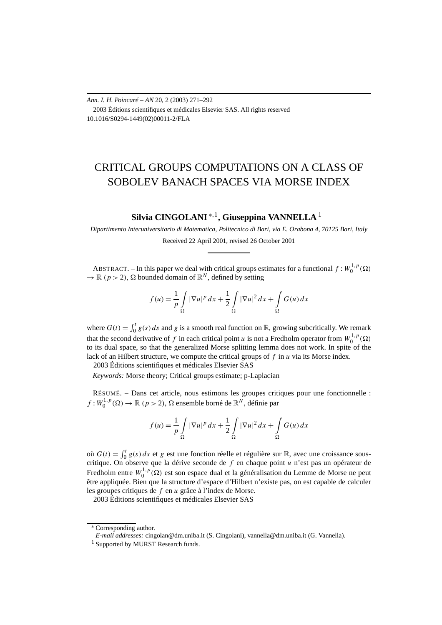*Ann. I. H. Poincaré – AN* 20, 2 (2003) 271–292 2003 Éditions scientifiques et médicales Elsevier SAS. All rights reserved 10.1016/S0294-1449(02)00011-2/FLA

# CRITICAL GROUPS COMPUTATIONS ON A CLASS OF SOBOLEV BANACH SPACES VIA MORSE INDEX

# **Silvia CINGOLANI** <sup>∗</sup>*,*1**, Giuseppina VANNELLA** <sup>1</sup>

*Dipartimento Interuniversitario di Matematica, Politecnico di Bari, via E. Orabona 4, 70125 Bari, Italy*

Received 22 April 2001, revised 26 October 2001

ABSTRACT. – In this paper we deal with critical groups estimates for a functional  $f: W_0^{1,p}(\Omega)$  $\rightarrow \mathbb{R}$  ( $p > 2$ ),  $\Omega$  bounded domain of  $\mathbb{R}^N$ , defined by setting

$$
f(u) = \frac{1}{p} \int_{\Omega} |\nabla u|^p dx + \frac{1}{2} \int_{\Omega} |\nabla u|^2 dx + \int_{\Omega} G(u) dx
$$

where  $G(t) = \int_0^t g(s) ds$  and *g* is a smooth real function on R, growing subcritically. We remark that the second derivative of *f* in each critical point *u* is not a Fredholm operator from  $W_0^{1,p}(\Omega)$ to its dual space, so that the generalized Morse splitting lemma does not work. In spite of the lack of an Hilbert structure, we compute the critical groups of *f* in *u* via its Morse index. 2003 Éditions scientifiques et médicales Elsevier SAS

*Keywords:* Morse theory; Critical groups estimate; p-Laplacian

RÉSUMÉ. – Dans cet article, nous estimons les groupes critiques pour une fonctionnelle :  $f: W_0^{1,p}(\Omega) \to \mathbb{R}$   $(p > 2)$ ,  $\Omega$  ensemble borné de  $\mathbb{R}^N$ , définie par

$$
f(u) = \frac{1}{p} \int_{\Omega} |\nabla u|^p dx + \frac{1}{2} \int_{\Omega} |\nabla u|^2 dx + \int_{\Omega} G(u) dx
$$

où  $G(t) = \int_0^t g(s) ds$  et *g* est une fonction réelle et régulière sur R, avec une croissance souscritique. On observe que la dérive seconde de *f* en chaque point *u* n'est pas un opérateur de Fredholm entre  $W_0^{1,p}(\Omega)$  est son espace dual et la généralisation du Lemme de Morse ne peut être appliquée. Bien que la structure d'espace d'Hilbert n'existe pas, on est capable de calculer les groupes critiques de *f* en *u* grâce à l'index de Morse.

2003 Éditions scientifiques et médicales Elsevier SAS

<sup>∗</sup> Corresponding author.

*E-mail addresses:* cingolan@dm.uniba.it (S. Cingolani), vannella@dm.uniba.it (G. Vannella).

<sup>&</sup>lt;sup>1</sup> Supported by MURST Research funds.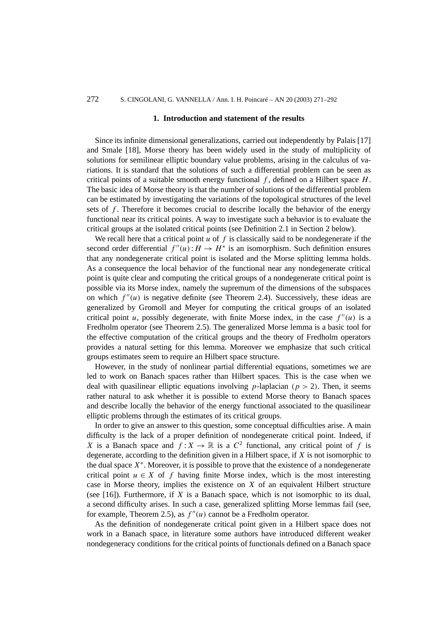#### **1. Introduction and statement of the results**

Since its infinite dimensional generalizations, carried out independently by Palais [17] and Smale [18], Morse theory has been widely used in the study of multiplicity of solutions for semilinear elliptic boundary value problems, arising in the calculus of variations. It is standard that the solutions of such a differential problem can be seen as critical points of a suitable smooth energy functional *f* , defined on a Hilbert space *H*. The basic idea of Morse theory is that the number of solutions of the differential problem can be estimated by investigating the variations of the topological structures of the level sets of *f* . Therefore it becomes crucial to describe locally the behavior of the energy functional near its critical points. A way to investigate such a behavior is to evaluate the critical groups at the isolated critical points (see Definition 2.1 in Section 2 below).

We recall here that a critical point *u* of *f* is classically said to be nondegenerate if the second order differential  $f''(u): H \to H^*$  is an isomorphism. Such definition ensures that any nondegenerate critical point is isolated and the Morse splitting lemma holds. As a consequence the local behavior of the functional near any nondegenerate critical point is quite clear and computing the critical groups of a nondegenerate critical point is possible via its Morse index, namely the supremum of the dimensions of the subspaces on which  $f''(u)$  is negative definite (see Theorem 2.4). Successively, these ideas are generalized by Gromoll and Meyer for computing the critical groups of an isolated critical point *u*, possibly degenerate, with finite Morse index, in the case  $f''(u)$  is a Fredholm operator (see Theorem 2.5). The generalized Morse lemma is a basic tool for the effective computation of the critical groups and the theory of Fredholm operators provides a natural setting for this lemma. Moreover we emphasize that such critical groups estimates seem to require an Hilbert space structure.

However, in the study of nonlinear partial differential equations, sometimes we are led to work on Banach spaces rather than Hilbert spaces. This is the case when we deal with quasilinear elliptic equations involving *p*-laplacian  $(p > 2)$ . Then, it seems rather natural to ask whether it is possible to extend Morse theory to Banach spaces and describe locally the behavior of the energy functional associated to the quasilinear elliptic problems through the estimates of its critical groups.

In order to give an answer to this question, some conceptual difficulties arise. A main difficulty is the lack of a proper definition of nondegenerate critical point. Indeed, if *X* is a Banach space and  $f: X \to \mathbb{R}$  is a  $C^2$  functional, any critical point of *f* is degenerate, according to the definition given in a Hilbert space, if *X* is not isomorphic to the dual space  $X^*$ . Moreover, it is possible to prove that the existence of a nondegenerate critical point  $u \in X$  of  $f$  having finite Morse index, which is the most interesting case in Morse theory, implies the existence on *X* of an equivalent Hilbert structure (see [16]). Furthermore, if *X* is a Banach space, which is not isomorphic to its dual, a second difficulty arises. In such a case, generalized splitting Morse lemmas fail (see, for example, Theorem 2.5), as  $f''(u)$  cannot be a Fredholm operator.

As the definition of nondegenerate critical point given in a Hilbert space does not work in a Banach space, in literature some authors have introduced different weaker nondegeneracy conditions for the critical points of functionals defined on a Banach space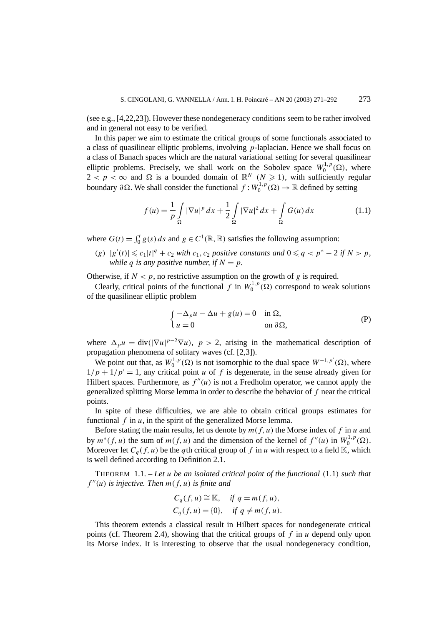(see e.g., [4,22,23]). However these nondegeneracy conditions seem to be rather involved and in general not easy to be verified.

In this paper we aim to estimate the critical groups of some functionals associated to a class of quasilinear elliptic problems, involving *p*-laplacian. Hence we shall focus on a class of Banach spaces which are the natural variational setting for several quasilinear elliptic problems. Precisely, we shall work on the Sobolev space  $W_0^{1,p}(\Omega)$ , where  $2 < p < \infty$  and  $\Omega$  is a bounded domain of  $\mathbb{R}^N$  ( $N \ge 1$ ), with sufficiently regular boundary  $\partial \Omega$ . We shall consider the functional  $f : W_0^{1,p}(\Omega) \to \mathbb{R}$  defined by setting

$$
f(u) = \frac{1}{p} \int_{\Omega} |\nabla u|^p dx + \frac{1}{2} \int_{\Omega} |\nabla u|^2 dx + \int_{\Omega} G(u) dx \tag{1.1}
$$

where  $G(t) = \int_0^t g(s) ds$  and  $g \in C^1(\mathbb{R}, \mathbb{R})$  satisfies the following assumption:

 $(g)$   $|g'(t)| \leq c_1 |t|^q + c_2$  *with*  $c_1, c_2$  *positive constants and*  $0 \leq q < p^* - 2$  *if*  $N > p$ *, while q is any positive number, if*  $N = p$ *.* 

Otherwise, if  $N < p$ , no restrictive assumption on the growth of *g* is required.

Clearly, critical points of the functional *f* in  $W_0^{1,p}(\Omega)$  correspond to weak solutions of the quasilinear elliptic problem

$$
\begin{cases}\n-\Delta_p u - \Delta u + g(u) = 0 & \text{in } \Omega, \\
u = 0 & \text{on } \partial \Omega,\n\end{cases}
$$
 (P)

where  $\Delta_p u = \text{div}(|\nabla u|^{p-2} \nabla u)$ ,  $p > 2$ , arising in the mathematical description of propagation phenomena of solitary waves (cf. [2,3]).

We point out that, as  $W_0^{1,p}(\Omega)$  is not isomorphic to the dual space  $W^{-1,p'}(\Omega)$ , where  $1/p + 1/p' = 1$ , any critical point *u* of *f* is degenerate, in the sense already given for Hilbert spaces. Furthermore, as  $f''(u)$  is not a Fredholm operator, we cannot apply the generalized splitting Morse lemma in order to describe the behavior of *f* near the critical points.

In spite of these difficulties, we are able to obtain critical groups estimates for functional *f* in *u*, in the spirit of the generalized Morse lemma.

Before stating the main results, let us denote by  $m(f, u)$  the Morse index of  $f$  in  $u$  and by  $m^*(f, u)$  the sum of  $m(f, u)$  and the dimension of the kernel of  $f''(u)$  in  $W_0^{1,p}(\Omega)$ . Moreover let  $C_q(f, u)$  be the *q*th critical group of *f* in *u* with respect to a field K, which is well defined according to Definition 2.1.

THEOREM 1.1. – *Let u be an isolated critical point of the functional (*1*.*1*) such that*  $f''(u)$  *is injective. Then*  $m(f, u)$  *is finite and* 

$$
C_q(f, u) \cong \mathbb{K}, \quad \text{if } q = m(f, u),
$$
  

$$
C_q(f, u) = \{0\}, \quad \text{if } q \neq m(f, u).
$$

This theorem extends a classical result in Hilbert spaces for nondegenerate critical points (cf. Theorem 2.4), showing that the critical groups of *f* in *u* depend only upon its Morse index. It is interesting to observe that the usual nondegeneracy condition,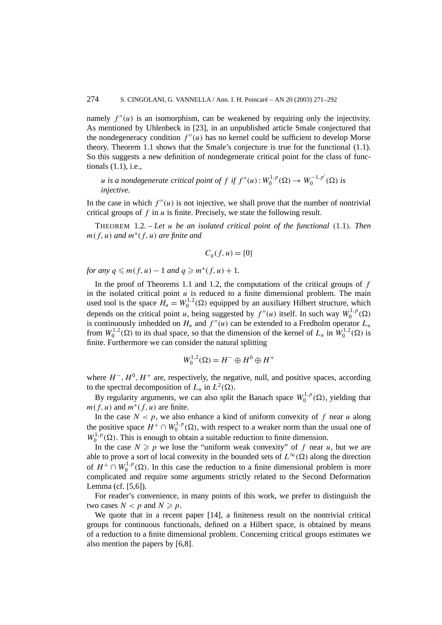namely  $f''(u)$  is an isomorphism, can be weakened by requiring only the injectivity. As mentioned by Uhlenbeck in [23], in an unpublished article Smale conjectured that the nondegeneracy condition  $f''(u)$  has no kernel could be sufficient to develop Morse theory. Theorem 1.1 shows that the Smale's conjecture is true for the functional (1.1). So this suggests a new definition of nondegenerate critical point for the class of functionals (1.1), i.e.,

*u* is a nondegenerate critical point of  $f$  if  $f''(u): W_0^{1,p}(\Omega) \to W_0^{-1,p'}(\Omega)$  is *injective.*

In the case in which  $f''(u)$  is not injective, we shall prove that the number of nontrivial critical groups of *f* in *u* is finite. Precisely, we state the following result.

THEOREM 1.2. – *Let u be an isolated critical point of the functional (*1*.*1*). Then m(f, u) and m*<sup>∗</sup>*(f, u) are finite and*

$$
C_q(f, u) = \{0\}
$$

*for any*  $q \le m(f, u) - 1$  *and*  $q \ge m^*(f, u) + 1$ *.* 

In the proof of Theorems 1.1 and 1.2, the computations of the critical groups of *f* in the isolated critical point  $u$  is reduced to a finite dimensional problem. The main used tool is the space  $\hat{H}_u = W_0^{1,2}(\Omega)$  equipped by an auxiliary Hilbert structure, which depends on the critical point *u*, being suggested by  $f''(u)$  itself. In such way  $W_0^{1,p}(\Omega)$ is continuously imbedded on  $H_u$  and  $f''(u)$  can be extended to a Fredholm operator  $L_u$ from  $W_0^{1,2}(\Omega)$  to its dual space, so that the dimension of the kernel of  $L_u$  in  $W_0^{1,2}(\Omega)$  is finite. Furthermore we can consider the natural splitting

$$
W_0^{1,2}(\Omega) = H^- \oplus H^0 \oplus H^+
$$

where  $H^-, H^0, H^+$  are, respectively, the negative, null, and positive spaces, according to the spectral decomposition of  $L_u$  in  $L^2(\Omega)$ .

By regularity arguments, we can also split the Banach space  $W_0^{1,p}(\Omega)$ , yielding that  $m(f, u)$  and  $m^*(f, u)$  are finite.

In the case  $N < p$ , we also enhance a kind of uniform convexity of *f* near *u* along the positive space  $H^+ \cap W_0^{1,p}(\Omega)$ , with respect to a weaker norm than the usual one of  $W_0^{1,p}(\Omega)$ . This is enough to obtain a suitable reduction to finite dimension.

In the case  $N \geq p$  we lose the "uniform weak convexity" of f near *u*, but we are able to prove a sort of local convexity in the bounded sets of  $L^{\infty}(\Omega)$  along the direction of  $H^+ \cap W_0^{1,p}(\Omega)$ . In this case the reduction to a finite dimensional problem is more complicated and require some arguments strictly related to the Second Deformation Lemma (cf. [5,6]).

For reader's convenience, in many points of this work, we prefer to distinguish the two cases  $N < p$  and  $N \geq p$ .

We quote that in a recent paper [14], a finiteness result on the nontrivial critical groups for continuous functionals, defined on a Hilbert space, is obtained by means of a reduction to a finite dimensional problem. Concerning critical groups estimates we also mention the papers by [6,8].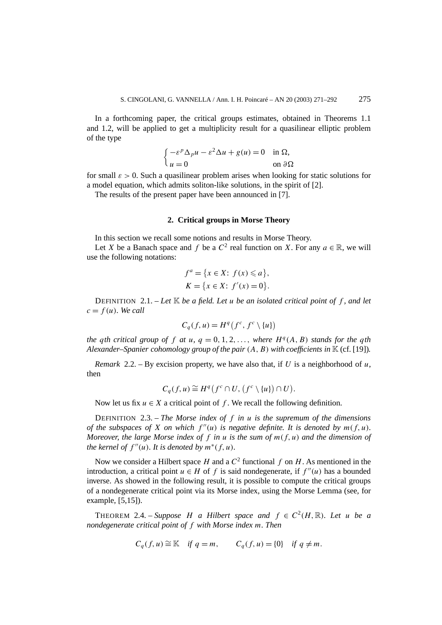In a forthcoming paper, the critical groups estimates, obtained in Theorems 1.1 and 1.2, will be applied to get a multiplicity result for a quasilinear elliptic problem of the type

$$
\begin{cases}\n-\varepsilon^p \Delta_p u - \varepsilon^2 \Delta u + g(u) = 0 & \text{in } \Omega, \\
u = 0 & \text{on } \partial \Omega\n\end{cases}
$$

for small  $\varepsilon > 0$ . Such a quasilinear problem arises when looking for static solutions for a model equation, which admits soliton-like solutions, in the spirit of [2].

The results of the present paper have been announced in [7].

### **2. Critical groups in Morse Theory**

In this section we recall some notions and results in Morse Theory.

Let *X* be a Banach space and *f* be a  $C^2$  real function on *X*. For any  $a \in \mathbb{R}$ , we will use the following notations:

$$
f^{a} = \{x \in X : f(x) \le a\},\,
$$
  

$$
K = \{x \in X : f'(x) = 0\}.
$$

DEFINITION 2.1. – Let  $\mathbb{K}$  be a field. Let u be an isolated critical point of f, and let  $c = f(u)$ *. We call* 

$$
C_q(f, u) = H^q(f^c, f^c \setminus \{u\})
$$

*the q*<sup>th</sup> critical group of *f* at *u*,  $q = 0, 1, 2, \ldots$ , *where*  $H^q(A, B)$  *stands for the q*<sup>th</sup> *Alexander–Spanier cohomology group of the pair (A, B) with coefficients in* K (cf. [19])*.*

*Remark* 2.2. – By excision property, we have also that, if *U* is a neighborhood of *u*, then

$$
C_q(f, u) \cong H^q(f^c \cap U, (f^c \setminus \{u\}) \cap U).
$$

Now let us fix  $u \in X$  a critical point of f. We recall the following definition.

DEFINITION 2.3. – *The Morse index of f in u is the supremum of the dimensions of the subspaces of X on which*  $f''(u)$  *is negative definite. It is denoted by*  $m(f, u)$ *. Moreover, the large Morse index of*  $f$  *in*  $u$  *is the sum of*  $m(f, u)$  *and the dimension of the kernel of*  $f''(u)$ *. It is denoted by*  $m^*(f, u)$ *.* 

Now we consider a Hilbert space *H* and a  $C^2$  functional *f* on *H*. As mentioned in the introduction, a critical point  $u \in H$  of f is said nondegenerate, if  $f''(u)$  has a bounded inverse. As showed in the following result, it is possible to compute the critical groups of a nondegenerate critical point via its Morse index, using the Morse Lemma (see, for example, [5,15]).

THEOREM 2.4. – *Suppose H a Hilbert space and*  $f \in C^2(H, \mathbb{R})$ *. Let u be a nondegenerate critical point of f with Morse index m. Then*

$$
C_q(f, u) \cong \mathbb{K} \quad \text{if } q = m, \qquad C_q(f, u) = \{0\} \quad \text{if } q \neq m.
$$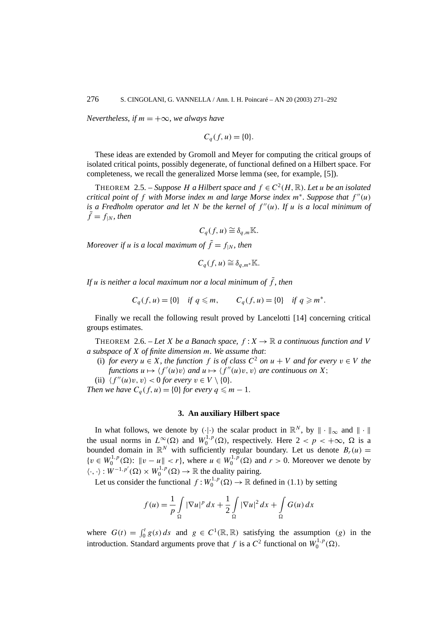*Nevertheless, if*  $m = +\infty$ *, we always have* 

$$
C_q(f, u) = \{0\}.
$$

These ideas are extended by Gromoll and Meyer for computing the critical groups of isolated critical points, possibly degenerate, of functional defined on a Hilbert space. For completeness, we recall the generalized Morse lemma (see, for example, [5]).

THEOREM 2.5. – *Suppose H a* Hilbert space and  $f \in C^2(H, \mathbb{R})$ *. Let u be an isolated critical point of f with Morse index m and large Morse index m*<sup>∗</sup>*. Suppose that f (u) is a Fredholm operator and let*  $N$  *be the kernel of*  $f''(u)$ *. If*  $u$  *is a local minimum of*  $f = f_{N}$ *, then* 

$$
C_q(f, u) \cong \delta_{q,m} \mathbb{K}.
$$

*Moreover if u is a local maximum of*  $\tilde{f} = f_N$ *, then* 

$$
C_q(f, u) \cong \delta_{q,m^*} \mathbb{K}.
$$

*If*  $u$  *is neither a local maximum nor a local minimum of*  $\tilde{f}$ *, then* 

 $C_q(f, u) = \{0\}$  *if*  $q \le m$ ,  $C_q(f, u) = \{0\}$  *if*  $q \ge m^*$ .

Finally we recall the following result proved by Lancelotti [14] concerning critical groups estimates.

THEOREM 2.6. – Let *X* be a Banach space,  $f: X \to \mathbb{R}$  a continuous function and *V a subspace of X of finite dimension m. We assume that*:

(i) *for every*  $u \in X$ *, the function f is of class*  $C^2$  *on*  $u + V$  *and for every*  $v \in V$  *the functions*  $u \mapsto \langle f'(u)v \rangle$  *and*  $u \mapsto \langle f''(u)v, v \rangle$  *are continuous on X*;

(ii)  $\langle f''(u)v, v \rangle < 0$  *for every*  $v \in V \setminus \{0\}.$ 

*Then we have*  $C_q(f, u) = \{0\}$  *for every*  $q \leq m - 1$ *.* 

#### **3. An auxiliary Hilbert space**

In what follows, we denote by  $(\cdot | \cdot)$  the scalar product in  $\mathbb{R}^N$ , by  $\|\cdot\|_{\infty}$  and  $\|\cdot\|$ the usual norms in  $L^{\infty}(\Omega)$  and  $W_0^{1,p}(\Omega)$ , respectively. Here  $2 < p < +\infty$ ,  $\Omega$  is a bounded domain in  $\mathbb{R}^N$  with sufficiently regular boundary. Let us denote  $B_r(u)$  =  $\{v \in W_0^{1,p}(\Omega): ||v - u|| < r\}$ , where  $u \in W_0^{1,p}(\Omega)$  and  $r > 0$ . Moreover we denote by  $\langle \cdot, \cdot \rangle : W^{-1,p'}(\Omega) \times W_0^{1,p}(\Omega) \rightarrow \mathbb{R}$  the duality pairing.

Let us consider the functional  $f: W_0^{1,p}(\Omega) \to \mathbb{R}$  defined in (1.1) by setting

$$
f(u) = \frac{1}{p} \int_{\Omega} |\nabla u|^p dx + \frac{1}{2} \int_{\Omega} |\nabla u|^2 dx + \int_{\Omega} G(u) dx
$$

where  $G(t) = \int_0^t g(s) ds$  and  $g \in C^1(\mathbb{R}, \mathbb{R})$  satisfying the assumption *(g)* in the introduction. Standard arguments prove that *f* is a  $C^2$  functional on  $W_0^{1,p}(\Omega)$ .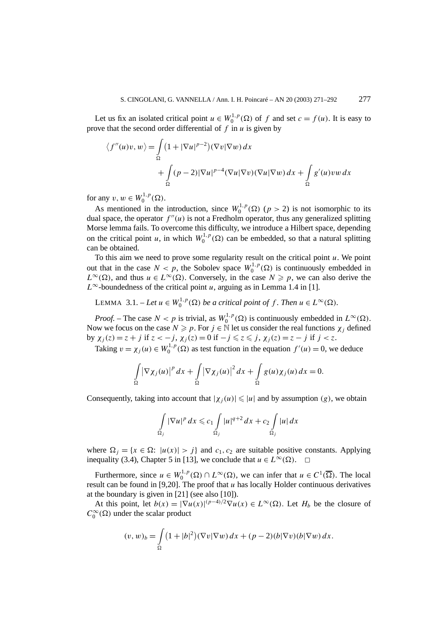Let us fix an isolated critical point  $u \in W_0^{1,p}(\Omega)$  of f and set  $c = f(u)$ . It is easy to prove that the second order differential of *f* in *u* is given by

$$
\langle f''(u)v, w \rangle = \int_{\Omega} (1 + |\nabla u|^{p-2}) (\nabla v | \nabla w) dx
$$
  
+ 
$$
\int_{\Omega} (p-2) |\nabla u|^{p-4} (\nabla u | \nabla v) (\nabla u | \nabla w) dx + \int_{\Omega} g'(u) v w dx
$$

for any  $v, w \in W_0^{1,p}(\Omega)$ .

As mentioned in the introduction, since  $W_0^{1,p}(\Omega)$  ( $p > 2$ ) is not isomorphic to its dual space, the operator  $f''(u)$  is not a Fredholm operator, thus any generalized splitting Morse lemma fails. To overcome this difficulty, we introduce a Hilbert space, depending on the critical point *u*, in which  $W_0^{1,p}(\Omega)$  can be embedded, so that a natural splitting can be obtained.

To this aim we need to prove some regularity result on the critical point *u*. We point out that in the case  $N < p$ , the Sobolev space  $W_0^{1,p}(\Omega)$  is continuously embedded in *L*<sup>∞</sup> $(\Omega)$ , and thus *u* ∈ *L*<sup>∞</sup> $(\Omega)$ . Conversely, in the case *N*  $\geq$  *p*, we can also derive the  $L^{\infty}$ -boundedness of the critical point *u*, arguing as in Lemma 1.4 in [1].

LEMMA 3.1. – Let  $u \in W_0^{1,p}(\Omega)$  be a critical point of f. Then  $u \in L^{\infty}(\Omega)$ .

*Proof.* – The case  $N < p$  is trivial, as  $W_0^{1,p}(\Omega)$  is continuously embedded in  $L^{\infty}(\Omega)$ . Now we focus on the case  $N \geq p$ . For  $j \in \mathbb{N}$  let us consider the real functions  $\chi_j$  defined by  $\chi_j(z) = z + j$  if  $z < -j$ ,  $\chi_j(z) = 0$  if  $-j \leq z \leq j$ ,  $\chi_j(z) = z - j$  if  $j < z$ .

Taking  $v = \chi_j(u) \in W_0^{1,p}(\Omega)$  as test function in the equation  $f'(u) = 0$ , we deduce

$$
\int_{\Omega} \left|\nabla \chi_j(u)\right|^p dx + \int_{\Omega} \left|\nabla \chi_j(u)\right|^2 dx + \int_{\Omega} g(u)\chi_j(u) dx = 0.
$$

Consequently, taking into account that  $|\chi_j(u)| \leq |u|$  and by assumption *(g)*, we obtain

$$
\int\limits_{\Omega_j} |\nabla u|^p \, dx \leqslant c_1 \int\limits_{\Omega_j} |u|^{q+2} \, dx + c_2 \int\limits_{\Omega_j} |u| \, dx
$$

where  $\Omega_i = \{x \in \Omega: |u(x)| > j\}$  and  $c_1, c_2$  are suitable positive constants. Applying inequality (3.4), Chapter 5 in [13], we conclude that  $u \in L^{\infty}(\Omega)$ .

Furthermore, since  $u \in W_0^{1,p}(\Omega) \cap L^{\infty}(\Omega)$ , we can infer that  $u \in C^1(\overline{\Omega})$ . The local result can be found in [9,20]. The proof that *u* has locally Holder continuous derivatives at the boundary is given in [21] (see also [10]).

At this point, let  $b(x) = |\nabla u(x)|^{(p-4)/2} \nabla u(x) \in L^{\infty}(\Omega)$ . Let  $H_b$  be the closure of  $C_0^{\infty}(\Omega)$  under the scalar product

$$
(v, w)_b = \int_{\Omega} (1+|b|^2)(\nabla v|\nabla w) dx + (p-2)(b|\nabla v)(b|\nabla w) dx.
$$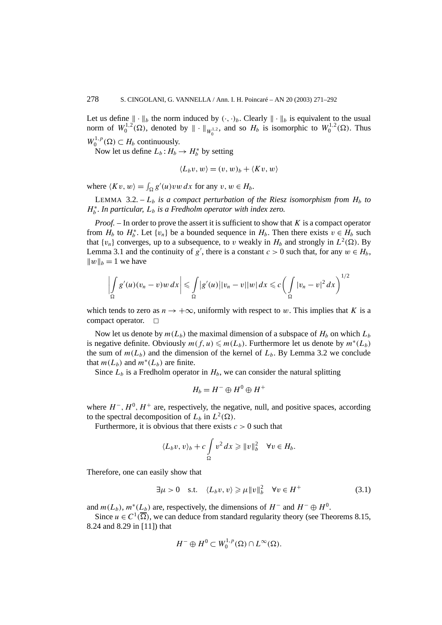Let us define  $\|\cdot\|_b$  the norm induced by  $(\cdot, \cdot)_b$ . Clearly  $\|\cdot\|_b$  is equivalent to the usual norm of  $W_0^{1,2}(\Omega)$ , denoted by  $\|\cdot\|_{W_0^{1,2}}$ , and so  $H_b$  is isomorphic to  $W_0^{1,2}(\Omega)$ . Thus  $W_0^{1,p}(\Omega) \subset H_b$  continuously.

Now let us define  $L_b: H_b \to H_b^*$  by setting

$$
\langle L_b v, w \rangle = (v, w)_b + \langle Kv, w \rangle
$$

where  $\langle Kv, w \rangle = \int_{\Omega} g'(u)vw \, dx$  for any  $v, w \in H_b$ .

LEMMA 3.2. –  $L_b$  *is a compact perturbation of the Riesz isomorphism from*  $H_b$  *to H*<sup>∗</sup><sub>*b*</sub>. *In particular, L*<sub>*b*</sub> *is a Fredholm operator with index zero.* 

*Proof. –* In order to prove the assert it is sufficient to show that *K* is a compact operator from  $H_b$  to  $H_b^*$ . Let  $\{v_n\}$  be a bounded sequence in  $H_b$ . Then there exists  $v \in H_b$  such that  $\{v_n\}$  converges, up to a subsequence, to *v* weakly in  $H_b$  and strongly in  $L^2(\Omega)$ . By Lemma 3.1 and the continuity of *g'*, there is a constant  $c > 0$  such that, for any  $w \in H_b$ ,  $||w||_b = 1$  we have

$$
\left|\int\limits_{\Omega}g'(u)(v_n-v)w\,dx\right|\leqslant \int\limits_{\Omega}|g'(u)||v_n-v||w|\,dx\leqslant c\bigg(\int\limits_{\Omega}|v_n-v|^2\,dx\bigg)^{1/2}
$$

which tends to zero as  $n \to +\infty$ , uniformly with respect to *w*. This implies that *K* is a compact operator.  $\Box$ 

Now let us denote by  $m(L_b)$  the maximal dimension of a subspace of  $H_b$  on which  $L_b$ is negative definite. Obviously  $m(f, u) \leq m(L_b)$ . Furthermore let us denote by  $m^*(L_b)$ the sum of  $m(L_b)$  and the dimension of the kernel of  $L_b$ . By Lemma 3.2 we conclude that  $m(L_b)$  and  $m^*(L_b)$  are finite.

Since  $L<sub>b</sub>$  is a Fredholm operator in  $H<sub>b</sub>$ , we can consider the natural splitting

$$
H_b = H^- \oplus H^0 \oplus H^+
$$

where  $H^-, H^0, H^+$  are, respectively, the negative, null, and positive spaces, according to the spectral decomposition of  $L_b$  in  $L^2(\Omega)$ .

Furthermore, it is obvious that there exists  $c > 0$  such that

$$
\langle L_b v, v \rangle_b + c \int_{\Omega} v^2 dx \geq \|v\|_b^2 \quad \forall v \in H_b.
$$

Therefore, one can easily show that

$$
\exists \mu > 0 \quad \text{s.t.} \quad \langle L_b v, v \rangle \geq \mu \|v\|_b^2 \quad \forall v \in H^+ \tag{3.1}
$$

and  $m(L_b)$ ,  $m^*(L_b)$  are, respectively, the dimensions of  $H^-$  and  $H^- \oplus H^0$ .

Since  $u \in C^1(\overline{\Omega})$ , we can deduce from standard regularity theory (see Theorems 8.15, 8.24 and 8.29 in [11]) that

$$
H^{-} \oplus H^{0} \subset W_{0}^{1,p}(\Omega) \cap L^{\infty}(\Omega).
$$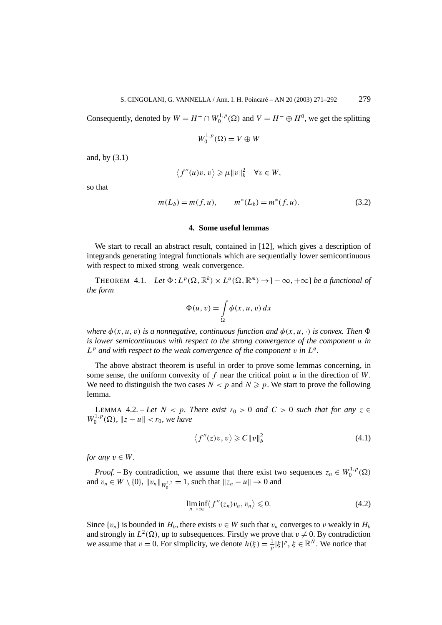Consequently, denoted by  $W = H^+ \cap W_0^{1,p}(\Omega)$  and  $V = H^- \oplus H^0$ , we get the splitting

$$
W_0^{1,p}(\Omega) = V \oplus W
$$

and, by (3.1)

$$
\langle f''(u)v, v \rangle \geq \mu ||v||_b^2 \quad \forall v \in W,
$$

so that

$$
m(L_b) = m(f, u), \qquad m^*(L_b) = m^*(f, u). \tag{3.2}
$$

## **4. Some useful lemmas**

We start to recall an abstract result, contained in [12], which gives a description of integrands generating integral functionals which are sequentially lower semicontinuous with respect to mixed strong–weak convergence.

THEOREM  $4.1. - Let \Phi: L^p(\Omega, \mathbb{R}^k) \times L^q(\Omega, \mathbb{R}^m) \to ]-\infty, +\infty]$  *be a functional of the form*

$$
\Phi(u, v) = \int_{\Omega} \phi(x, u, v) dx
$$

*where*  $\phi(x, u, v)$  *is a nonnegative, continuous function and*  $\phi(x, u, \cdot)$  *is convex. Then*  $\Phi$ *is lower semicontinuous with respect to the strong convergence of the component u in*  $L^p$  *and with respect to the weak convergence of the component v in*  $L^q$ *.* 

The above abstract theorem is useful in order to prove some lemmas concerning, in some sense, the uniform convexity of *f* near the critical point *u* in the direction of *W*. We need to distinguish the two cases  $N < p$  and  $N \geq p$ . We start to prove the following lemma.

LEMMA 4.2. – Let  $N < p$ . There exist  $r_0 > 0$  and  $C > 0$  such that for any  $z \in$  $W_0^{1,p}(\Omega)$ ,  $||z - u|| < r_0$ , we have

$$
\langle f''(z)v, v \rangle \geqslant C \|v\|_b^2 \tag{4.1}
$$

*for any*  $v \in W$ *.* 

*Proof.* – By contradiction, we assume that there exist two sequences  $z_n \in W_0^{1,p}(\Omega)$ and  $v_n \in W \setminus \{0\}$ ,  $||v_n||_{W_0^{1,2}} = 1$ , such that  $||z_n - u|| \to 0$  and

$$
\liminf_{n \to \infty} \langle f''(z_n) v_n, v_n \rangle \leq 0. \tag{4.2}
$$

Since  $\{v_n\}$  is bounded in  $H_b$ , there exists  $v \in W$  such that  $v_n$  converges to *v* weakly in  $H_b$ and strongly in  $L^2(\Omega)$ , up to subsequences. Firstly we prove that  $v \neq 0$ . By contradiction we assume that  $v = 0$ . For simplicity, we denote  $h(\xi) = \frac{1}{p} |\xi|^p$ ,  $\xi \in \mathbb{R}^N$ . We notice that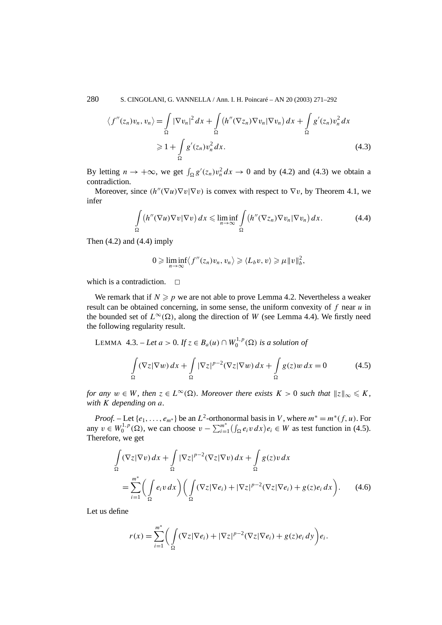280 S. CINGOLANI, G. VANNELLA / Ann. I. H. Poincaré – AN 20 (2003) 271–292

$$
\langle f''(z_n)v_n, v_n \rangle = \int_{\Omega} |\nabla v_n|^2 dx + \int_{\Omega} (h''(\nabla z_n) \nabla v_n | \nabla v_n) dx + \int_{\Omega} g'(z_n) v_n^2 dx
$$
  
\n
$$
\geq 1 + \int_{\Omega} g'(z_n) v_n^2 dx.
$$
\n(4.3)

By letting  $n \to +\infty$ , we get  $\int_{\Omega} g'(z_n)v_n^2 dx \to 0$  and by (4.2) and (4.3) we obtain a contradiction.

Moreover, since  $(h''(\nabla u)\nabla v|\nabla v)$  is convex with respect to  $\nabla v$ , by Theorem 4.1, we infer

$$
\int_{\Omega} \left( h''(\nabla u) \nabla v | \nabla v \right) dx \leq \liminf_{n \to \infty} \int_{\Omega} \left( h''(\nabla z_n) \nabla v_n | \nabla v_n \right) dx. \tag{4.4}
$$

Then  $(4.2)$  and  $(4.4)$  imply

$$
0 \geqslant \liminf_{n \to \infty} \langle f''(z_n)v_n, v_n \rangle \geqslant \langle L_b v, v \rangle \geqslant \mu \|v\|_b^2,
$$

which is a contradiction.  $\Box$ 

We remark that if  $N \geq p$  we are not able to prove Lemma 4.2. Nevertheless a weaker result can be obtained concerning, in some sense, the uniform convexity of *f* near *u* in the bounded set of  $L^{\infty}(\Omega)$ , along the direction of *W* (see Lemma 4.4). We firstly need the following regularity result.

LEMMA 4.3. – Let  $a > 0$ . If  $z \in B_a(u) \cap W_0^{1,p}(\Omega)$  is a solution of

$$
\int_{\Omega} (\nabla z |\nabla w) dx + \int_{\Omega} |\nabla z|^{p-2} (\nabla z |\nabla w) dx + \int_{\Omega} g(z) w dx = 0 \tag{4.5}
$$

*for any*  $w \in W$ *, then*  $z \in L^{\infty}(\Omega)$ *. Moreover there exists*  $K > 0$  *such that*  $||z||_{\infty} \leqslant K$ *, with K depending on a.*

*Proof.* – Let  $\{e_1, \ldots, e_{m^*}\}$  be an  $L^2$ -orthonormal basis in *V*, where  $m^* = m^*(f, u)$ . For any  $v \in W_0^{1,p}(\Omega)$ , we can choose  $v - \sum_{i=1}^{m^*} (\int_{\Omega} e_i v dx) e_i \in W$  as test function in (4.5). Therefore, we get

$$
\int_{\Omega} (\nabla z |\nabla v) dx + \int_{\Omega} |\nabla z|^{p-2} (\nabla z |\nabla v) dx + \int_{\Omega} g(z) v dx
$$
\n
$$
= \sum_{i=1}^{m^*} \left( \int_{\Omega} e_i v dx \right) \left( \int_{\Omega} (\nabla z |\nabla e_i) + |\nabla z|^{p-2} (\nabla z |\nabla e_i) + g(z) e_i dx \right). \tag{4.6}
$$

Let us define

$$
r(x) = \sum_{i=1}^{m^*} \left( \int_{\Omega} (\nabla z |\nabla e_i) + |\nabla z|^{p-2} (\nabla z |\nabla e_i) + g(z) e_i \, dy \right) e_i.
$$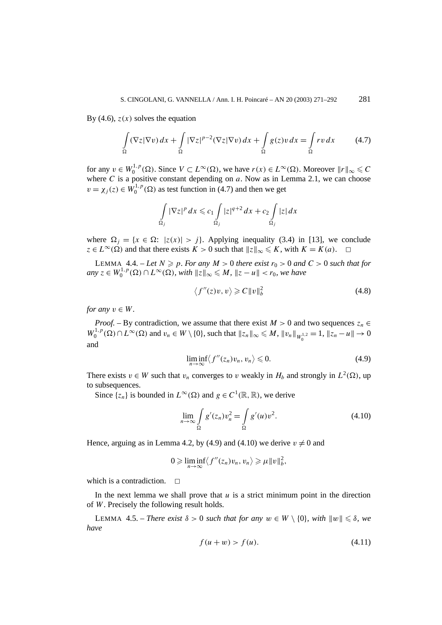By  $(4.6)$ ,  $z(x)$  solves the equation

$$
\int_{\Omega} (\nabla z |\nabla v) dx + \int_{\Omega} |\nabla z|^{p-2} (\nabla z |\nabla v) dx + \int_{\Omega} g(z) v dx = \int_{\Omega} r v dx \qquad (4.7)
$$

for any  $v \in W_0^{1,p}(\Omega)$ . Since  $V \subset L^{\infty}(\Omega)$ , we have  $r(x) \in L^{\infty}(\Omega)$ . Moreover  $||r||_{\infty} \leq C$ where  $C$  is a positive constant depending on  $a$ . Now as in Lemma 2.1, we can choose  $v = \chi_j(z) \in W_0^{1,p}(\Omega)$  as test function in (4.7) and then we get

$$
\int_{\Omega_j} |\nabla z|^p \, dx \leqslant c_1 \int_{\Omega_j} |z|^{q+2} \, dx + c_2 \int_{\Omega_j} |z| \, dx
$$

where  $\Omega_i = \{x \in \Omega: |z(x)| > i\}$ . Applying inequality (3.4) in [13], we conclude *z* ∈ *L*<sup>∞</sup>( $\Omega$ ) and that there exists *K* > 0 such that  $||z||_{\infty} \le K$ , with *K* = *K(a)*.  $\Box$ 

LEMMA 4.4. – Let  $N \geq p$ . For any  $M > 0$  there exist  $r_0 > 0$  and  $C > 0$  such that for  $\langle \sup z \in W_0^{1,p}(\Omega) \cap L^\infty(\Omega)$ , with  $||z||_{\infty} \leqslant M$ ,  $||z - u|| < r_0$ , we have

$$
\langle f''(z)v, v \rangle \geqslant C \|v\|_b^2 \tag{4.8}
$$

*for any*  $v \in W$ *.* 

*Proof.* – By contradiction, we assume that there exist  $M > 0$  and two sequences  $z_n \in$  $W_0^{1,p}(\Omega) \cap L^{\infty}(\Omega)$  and  $v_n \in W \setminus \{0\}$ , such that  $||z_n||_{\infty} \le M$ ,  $||v_n||_{W_0^{1,2}} = 1$ ,  $||z_n - u|| \to 0$ and

$$
\liminf_{n\to\infty} \langle f''(z_n)v_n, v_n\rangle \leqslant 0. \tag{4.9}
$$

There exists  $v \in W$  such that  $v_n$  converges to *v* weakly in  $H_b$  and strongly in  $L^2(\Omega)$ , up to subsequences.

Since  $\{z_n\}$  is bounded in  $L^{\infty}(\Omega)$  and  $g \in C^1(\mathbb{R}, \mathbb{R})$ , we derive

$$
\lim_{n \to \infty} \int_{\Omega} g'(z_n) v_n^2 = \int_{\Omega} g'(u) v^2.
$$
\n(4.10)

Hence, arguing as in Lemma 4.2, by (4.9) and (4.10) we derive  $v \neq 0$  and

 $0 \geqslant \liminf_{n \to \infty} \langle f''(z_n)v_n, v_n \rangle \geqslant \mu ||v||_b^2,$ 

which is a contradiction.  $\Box$ 

In the next lemma we shall prove that *u* is a strict minimum point in the direction of *W*. Precisely the following result holds.

LEMMA 4.5. – *There exist*  $\delta > 0$  *such that for any*  $w \in W \setminus \{0\}$ *, with*  $||w|| \leq \delta$ *, we have*

$$
f(u + w) > f(u). \tag{4.11}
$$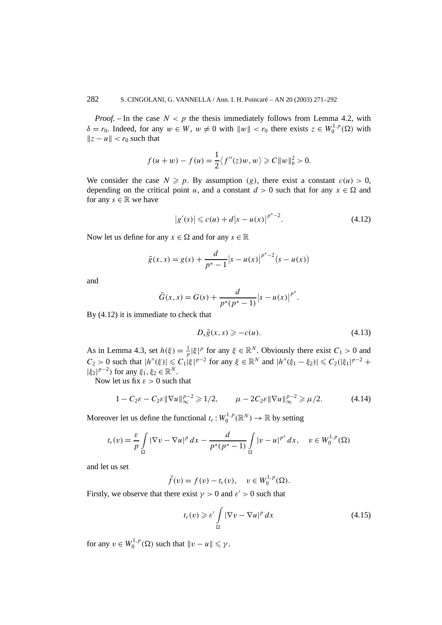*Proof.* – In the case  $N < p$  the thesis immediately follows from Lemma 4.2, with  $\delta = r_0$ . Indeed, for any  $w \in W$ ,  $w \neq 0$  with  $||w|| < r_0$  there exists  $z \in W_0^{1,p}(\Omega)$  with  $\|z - u\| < r_0$  such that

$$
f(u + w) - f(u) = \frac{1}{2} \langle f''(z)w, w \rangle \geq C ||w||_b^2 > 0.
$$

We consider the case  $N \geqslant p$ . By assumption *(g)*, there exist a constant  $c(u) > 0$ , depending on the critical point *u*, and a constant  $d > 0$  such that for any  $x \in \Omega$  and for any  $s \in \mathbb{R}$  we have

$$
|g'(s)| \leq c(u) + d|s - u(x)|^{p^*-2}.
$$
 (4.12)

Now let us define for any  $x \in \Omega$  and for any  $s \in \mathbb{R}$ 

$$
\tilde{g}(x,s) = g(s) + \frac{d}{p^* - 1} |s - u(x)|^{p^* - 2} (s - u(x))
$$

and

$$
\tilde{G}(x,s) = G(s) + \frac{d}{p^{*}(p^{*}-1)}|s - u(x)|^{p^{*}}.
$$

By (4.12) it is immediate to check that

$$
D_s \tilde{g}(x, s) \geq -c(u). \tag{4.13}
$$

As in Lemma 4.3, set  $h(\xi) = \frac{1}{p} |\xi|^p$  for any  $\xi \in \mathbb{R}^N$ . Obviously there exist  $C_1 > 0$  and  $C_2 > 0$  such that  $|h''(\xi)| \leq C_1 |\xi|^{p-2}$  for any  $\xi \in \mathbb{R}^N$  and  $|h''(\xi_1 - \xi_2)| \leq C_2 (|\xi_1|^{p-2} +$  $|\xi_2|^{p-2}$ ) for any  $\xi_1, \xi_2 \in \mathbb{R}^N$ .

Now let us fix  $\varepsilon > 0$  such that

$$
1 - C_2 \varepsilon - C_2 \varepsilon ||\nabla u||_{\infty}^{p-2} \geq 1/2, \qquad \mu - 2C_2 \varepsilon ||\nabla u||_{\infty}^{p-2} \geq \mu/2. \tag{4.14}
$$

Moreover let us define the functional  $t_{\varepsilon}: W_0^{1,p}(\mathbb{R}^N) \to \mathbb{R}$  by setting

$$
t_{\varepsilon}(v) = \frac{\varepsilon}{p} \int_{\Omega} |\nabla v - \nabla u|^p dx - \frac{d}{p^*(p^*-1)} \int_{\Omega} |v - u|^{p^*} dx, \quad v \in W_0^{1,p}(\Omega)
$$

and let us set

$$
\tilde{f}(v) = f(v) - t_{\varepsilon}(v), \quad v \in W_0^{1,p}(\Omega).
$$

Firstly, we observe that there exist  $\gamma > 0$  and  $\varepsilon' > 0$  such that

$$
t_{\varepsilon}(v) \geqslant \varepsilon' \int\limits_{\Omega} |\nabla v - \nabla u|^p \, dx \tag{4.15}
$$

for any  $v \in W_0^{1,p}(\Omega)$  such that  $\|v - u\| \leq \gamma$ .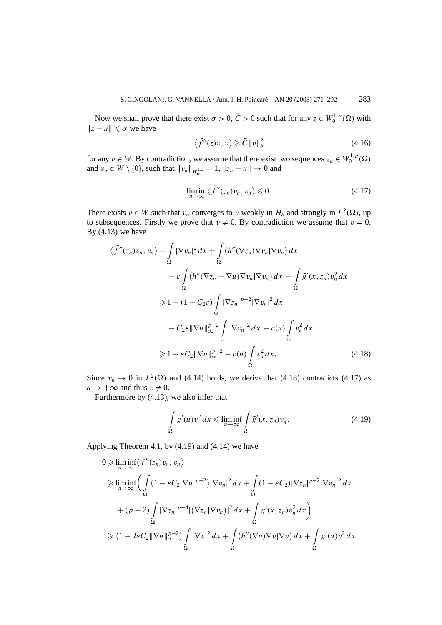Now we shall prove that there exist  $\sigma > 0$ ,  $\tilde{C} > 0$  such that for any  $z \in W_0^{1,p}(\Omega)$  with  $||z - u||$  ≤ σ we have

$$
\langle \tilde{f}''(z)v, v \rangle \geqslant \tilde{C} \|v\|_b^2 \tag{4.16}
$$

for any  $v \in W$ . By contradiction, we assume that there exist two sequences  $z_n \in W_0^{1,p}(\Omega)$ and  $v_n \in W \setminus \{0\}$ , such that  $||v_n||_{W_0^{1,2}} = 1$ ,  $||z_n - u|| \to 0$  and

$$
\liminf_{n \to \infty} \langle \tilde{f}''(z_n) v_n, v_n \rangle \leq 0. \tag{4.17}
$$

There exists  $v \in W$  such that  $v_n$  converges to *v* weakly in  $H_b$  and strongly in  $L^2(\Omega)$ , up to subsequences. Firstly we prove that  $v \neq 0$ . By contradiction we assume that  $v = 0$ . By  $(4.13)$  we have

$$
\langle \tilde{f}''(z_n)v_n, v_n \rangle = \int_{\Omega} |\nabla v_n|^2 dx + \int_{\Omega} (h''(\nabla z_n) \nabla v_n | \nabla v_n) dx
$$
  
\n
$$
- \varepsilon \int_{\Omega} (h''(\nabla z_n - \nabla u) \nabla v_n | \nabla v_n) dx + \int_{\Omega} \tilde{g}'(x, z_n) v_n^2 dx
$$
  
\n
$$
\geq 1 + (1 - C_2 \varepsilon) \int_{\Omega} |\nabla z_n|^{p-2} |\nabla v_n|^2 dx
$$
  
\n
$$
- C_2 \varepsilon ||\nabla u||_{\infty}^{p-2} \int_{\Omega} |\nabla v_n|^2 dx - c(u) \int_{\Omega} v_n^2 dx
$$
  
\n
$$
\geq 1 - \varepsilon C_2 ||\nabla u||_{\infty}^{p-2} - c(u) \int_{\Omega} v_n^2 dx.
$$
 (4.18)

Since  $v_n \to 0$  in  $L^2(\Omega)$  and (4.14) holds, we derive that (4.18) contradicts (4.17) as  $n \rightarrow +\infty$  and thus  $v \neq 0$ .

Furthermore by (4.13), we also infer that

$$
\int_{\Omega} g'(u)v^2 dx \leq \liminf_{n \to \infty} \int_{\Omega} \tilde{g}'(x, z_n)v_n^2.
$$
\n(4.19)

Applying Theorem 4.1, by (4.19) and (4.14) we have

$$
0 \geqslant \liminf_{n \to \infty} \langle \tilde{f}''(z_n)v_n, v_n \rangle
$$
  
\n
$$
\geqslant \liminf_{n \to \infty} \Biggl( \int_{\Omega} \Biggl( 1 - \varepsilon C_2 |\nabla u|^{p-2} \Big) |\nabla v_n|^2 dx + \int_{\Omega} \Biggl( 1 - \varepsilon C_2 |\nabla z_n|^{p-2} |\nabla v_n|^2 dx \Biggr)
$$
  
\n
$$
+ (p-2) \int_{\Omega} |\nabla z_n|^{p-4} |(\nabla z_n |\nabla v_n)|^2 dx + \int_{\Omega} \tilde{g}'(x, z_n) v_n^2 dx \Biggr)
$$
  
\n
$$
\geqslant \Bigl( 1 - 2\varepsilon C_2 ||\nabla u||_{\infty}^{p-2} \Bigr) \int_{\Omega} |\nabla v|^2 dx + \int_{\Omega} \Bigl( h''(\nabla u) \nabla v | \nabla v \Bigr) dx + \int_{\Omega} g'(u) v^2 dx
$$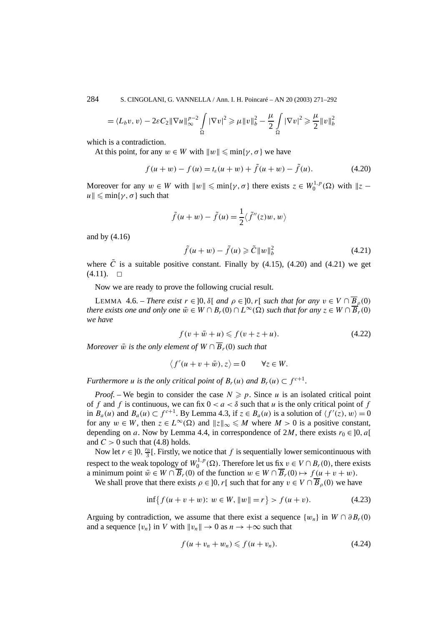284 S. CINGOLANI, G. VANNELLA / Ann. I. H. Poincaré – AN 20 (2003) 271–292

$$
= \langle L_b v, v \rangle - 2\varepsilon C_2 \|\nabla u\|_{\infty}^{p-2} \int\limits_{\Omega} |\nabla v|^2 \geqslant \mu \|v\|_b^2 - \frac{\mu}{2} \int\limits_{\Omega} |\nabla v|^2 \geqslant \frac{\mu}{2} \|v\|_b^2
$$

which is a contradiction.

At this point, for any  $w \in W$  with  $||w|| \leq \min\{\gamma, \sigma\}$  we have

$$
f(u + w) - f(u) = t_{\varepsilon}(u + w) + \tilde{f}(u + w) - \tilde{f}(u).
$$
 (4.20)

Moreover for any  $w \in W$  with  $||w|| \leq \min\{\gamma, \sigma\}$  there exists  $z \in W_0^{1,p}(\Omega)$  with  $||z - z||$  $u \parallel \leq m$ *in*{*γ*, *σ*} such that

$$
\tilde{f}(u+w) - \tilde{f}(u) = \frac{1}{2} \langle \tilde{f}''(z)w, w \rangle
$$

and by (4.16)

$$
\tilde{f}(u+w) - \tilde{f}(u) \ge \tilde{C} \|w\|_b^2 \tag{4.21}
$$

where  $\tilde{C}$  is a suitable positive constant. Finally by (4.15), (4.20) and (4.21) we get  $(4.11)$ .  $\Box$ 

Now we are ready to prove the following crucial result.

LEMMA 4.6. – *There exist*  $r \in ]0, \delta[$  *and*  $\rho \in ]0, r[$  *such that for any*  $v \in V \cap \overline{B}_p(0)$ *there exists one and only one*  $\bar{w} \in W \cap B_r(0) \cap L^\infty(\Omega)$  *such that for any*  $z \in W \cap \overline{B}_r(0)$ *we have*

$$
f(v + \bar{w} + u) \leqslant f(v + z + u). \tag{4.22}
$$

*Moreover*  $\bar{w}$  *is the only element of*  $W \cap \overline{B}_r(0)$  *such that* 

$$
\langle f'(u+v+\bar{w}), z \rangle = 0 \qquad \forall z \in W.
$$

*Furthermore u is the only critical point of*  $B_r(u)$  *and*  $B_r(u) \subset f^{c+1}$ .

*Proof.* – We begin to consider the case  $N \geq p$ . Since *u* is an isolated critical point of *f* and *f* is continuous, we can fix  $0 < a < \delta$  such that *u* is the only critical point of *f* in  $B_a(u)$  and  $B_a(u) \subset f^{c+1}$ . By Lemma 4.3, if  $z \in B_a(u)$  is a solution of  $\langle f'(z), w \rangle = 0$ for any  $w \in W$ , then  $z \in L^{\infty}(\Omega)$  and  $||z||_{\infty} \leq M$  where  $M > 0$  is a positive constant, depending on *a*. Now by Lemma 4.4, in correspondence of 2*M*, there exists  $r_0 \in ]0, a[$ and  $C > 0$  such that (4.8) holds.

Now let  $r \in ]0, \frac{r_0}{3}$ . Firstly, we notice that *f* is sequentially lower semicontinuous with respect to the weak topology of  $W_0^{1,p}(\Omega)$ . Therefore let us fix  $v \in V \cap B_r(0)$ , there exists a minimum point  $\bar{w} \in W \cap \overline{B_r}(0)$  of the function  $w \in W \cap \overline{B_r}(0) \mapsto f(u+v+w)$ .

We shall prove that there exists  $\rho \in ]0, r[$  such that for any  $v \in V \cap \overline{B}_\rho(0)$  we have

$$
\inf\{f(u+v+w): w \in W, \|w\| = r\} > f(u+v). \tag{4.23}
$$

Arguing by contradiction, we assume that there exist a sequence  $\{w_n\}$  in  $W \cap \partial B_r(0)$ and a sequence  $\{v_n\}$  in *V* with  $\|v_n\| \to 0$  as  $n \to +\infty$  such that

$$
f(u+v_n+w_n)\leqslant f(u+v_n). \tag{4.24}
$$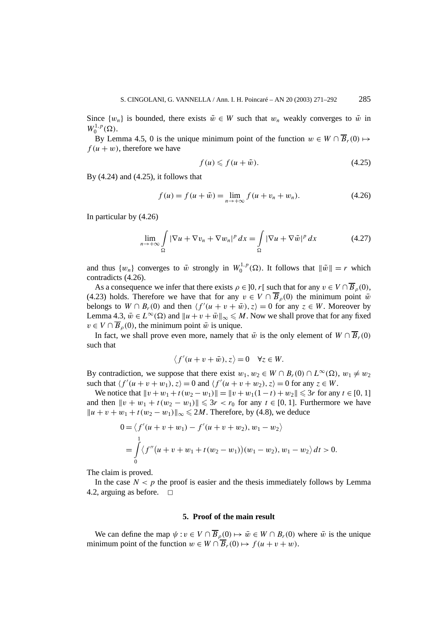Since  $\{w_n\}$  is bounded, there exists  $\tilde{w} \in W$  such that  $w_n$  weakly converges to  $\tilde{w}$  in  $W_0^{1,p}(\Omega)$ .

By Lemma 4.5, 0 is the unique minimum point of the function  $w \in W \cap \overline{B}_r(0) \mapsto$  $f(u + w)$ , therefore we have

$$
f(u) \leqslant f(u + \tilde{w}).\tag{4.25}
$$

By  $(4.24)$  and  $(4.25)$ , it follows that

$$
f(u) = f(u + \tilde{w}) = \lim_{n \to +\infty} f(u + v_n + w_n).
$$
 (4.26)

In particular by (4.26)

$$
\lim_{n \to +\infty} \int_{\Omega} |\nabla u + \nabla v_n + \nabla w_n|^p \, dx = \int_{\Omega} |\nabla u + \nabla \tilde{w}|^p \, dx \tag{4.27}
$$

and thus  $\{w_n\}$  converges to  $\tilde{w}$  strongly in  $W_0^{1,p}(\Omega)$ . It follows that  $\|\tilde{w}\| = r$  which contradicts (4.26).

As a consequence we infer that there exists  $\rho \in ]0, r[$  such that for any  $v \in V \cap \overline{B}_o(0)$ , (4.23) holds. Therefore we have that for any  $v \in V \cap \overline{B}_o(0)$  the minimum point  $\overline{w}$ belongs to  $W \cap B_r(0)$  and then  $\langle f'(u + v + \bar{w}), z \rangle = 0$  for any  $z \in W$ . Moreover by Lemma 4.3,  $\bar{w} \in L^{\infty}(\Omega)$  and  $||u + v + \bar{w}||_{\infty} \le M$ . Now we shall prove that for any fixed  $v \in V \cap \overline{B}_\rho(0)$ , the minimum point  $\overline{w}$  is unique.

In fact, we shall prove even more, namely that  $\bar{w}$  is the only element of  $W \cap \overline{B}_r(0)$ such that

$$
\langle f'(u+v+\bar{w}), z \rangle = 0 \quad \forall z \in W.
$$

By contradiction, we suppose that there exist  $w_1, w_2 \in W \cap B_r(0) \cap L^{\infty}(\Omega)$ ,  $w_1 \neq w_2$ such that  $\langle f'(u + v + w_1), z \rangle = 0$  and  $\langle f'(u + v + w_2), z \rangle = 0$  for any  $z \in W$ .

*We* notice that  $||v + w_1 + t(w_2 - w_1)|| = ||v + w_1(1 - t) + w_2|| \le 3r$  for any  $t \in [0, 1]$ and then  $\|v + w_1 + t(w_2 - w_1)\| \leq 3r < r_0$  for any  $t \in [0, 1]$ . Furthermore we have  $||u + v + w_1 + t(w_2 - w_1)||_{∞}$  ≤ 2*M*. Therefore, by (4.8), we deduce

$$
0 = \langle f'(u+v+w_1) - f'(u+v+w_2), w_1 - w_2 \rangle
$$
  
= 
$$
\int_0^1 \langle f''(u+v+w_1+t(w_2-w_1))(w_1-w_2), w_1 - w_2 \rangle dt > 0.
$$

The claim is proved.

In the case  $N < p$  the proof is easier and the thesis immediately follows by Lemma 4.2, arguing as before.  $\Box$ 

#### **5. Proof of the main result**

We can define the map  $\psi : v \in V \cap \overline{B}_\rho(0) \mapsto \overline{w} \in W \cap B_r(0)$  where  $\overline{w}$  is the unique minimum point of the function  $w \in W \cap \overline{B}_r(0) \mapsto f(u+v+w)$ .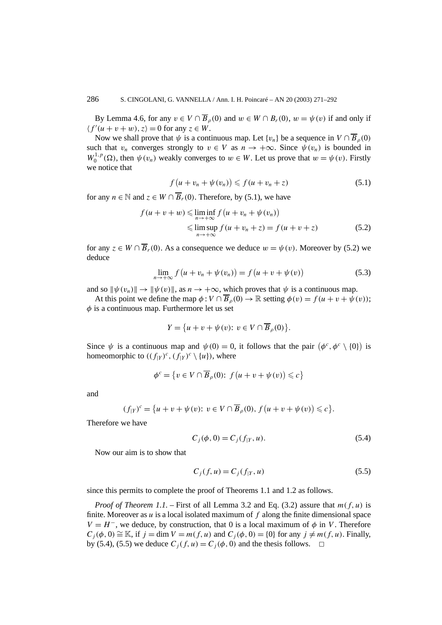By Lemma 4.6, for any  $v \in V \cap \overline{B}_\rho(0)$  and  $w \in W \cap B_r(0)$ ,  $w = \psi(v)$  if and only if  $\langle f'(u+v+w), z \rangle = 0$  for any  $z \in W$ .

Now we shall prove that  $\psi$  is a continuous map. Let  $\{v_n\}$  be a sequence in  $V \cap \overline{B}_n(0)$ such that  $v_n$  converges strongly to  $v \in V$  as  $n \to +\infty$ . Since  $\psi(v_n)$  is bounded in  $W_0^{1,p}(\Omega)$ , then  $\psi(v_n)$  weakly converges to  $w \in W$ . Let us prove that  $w = \psi(v)$ . Firstly we notice that

$$
f(u + v_n + \psi(v_n)) \leqslant f(u + v_n + z) \tag{5.1}
$$

for any  $n \in \mathbb{N}$  and  $z \in W \cap \overline{B}_r(0)$ . Therefore, by (5.1), we have

$$
f(u + v + w) \leq \liminf_{n \to +\infty} f(u + v_n + \psi(v_n))
$$
  
\n
$$
\leq \limsup_{n \to +\infty} f(u + v_n + z) = f(u + v + z)
$$
 (5.2)

for any  $z \in W \cap \overline{B_r}(0)$ . As a consequence we deduce  $w = \psi(v)$ . Moreover by (5.2) we deduce

$$
\lim_{n \to +\infty} f(u + v_n + \psi(v_n)) = f(u + v + \psi(v))
$$
\n(5.3)

and so  $\|\psi(v_n)\| \to \|\psi(v)\|$ , as  $n \to +\infty$ , which proves that  $\psi$  is a continuous map.

At this point we define the map  $\phi: V \cap \overline{B}_\rho(0) \to \mathbb{R}$  setting  $\phi(v) = f(u + v + \psi(v));$ *φ* is a continuous map. Furthermore let us set

$$
Y = \{u + v + \psi(v): v \in V \cap \overline{B}_{\rho}(0)\}.
$$

Since  $\psi$  is a continuous map and  $\psi(0) = 0$ , it follows that the pair  $(\phi^c, \phi^c \setminus \{0\})$  is homeomorphic to  $((f_{|Y})^c, (f_{|Y})^c \setminus \{u\})$ , where

$$
\phi^c = \{ v \in V \cap \overline{B}_{\rho}(0): f(u + v + \psi(v)) \leq c \}
$$

and

$$
(f_{|Y})^c = \{u + v + \psi(v): v \in V \cap \overline{B}_{\rho}(0), f(u + v + \psi(v)) \leq c\}.
$$

Therefore we have

$$
C_j(\phi, 0) = C_j(f_{|Y}, u). \tag{5.4}
$$

Now our aim is to show that

$$
C_j(f, u) = C_j(f|_Y, u)
$$
\n
$$
(5.5)
$$

since this permits to complete the proof of Theorems 1.1 and 1.2 as follows.

*Proof of Theorem 1.1. –* First of all Lemma 3.2 and Eq. (3.2) assure that *m(f, u)* is finite. Moreover as *u* is a local isolated maximum of *f* along the finite dimensional space  $V = H^-$ , we deduce, by construction, that 0 is a local maximum of  $\phi$  in *V*. Therefore  $C_i(\phi, 0) \cong \mathbb{K}$ , if  $j = \dim V = m(f, u)$  and  $C_i(\phi, 0) = \{0\}$  for any  $j \neq m(f, u)$ . Finally, by (5.4), (5.5) we deduce  $C_i(f, u) = C_i(\phi, 0)$  and the thesis follows.  $\Box$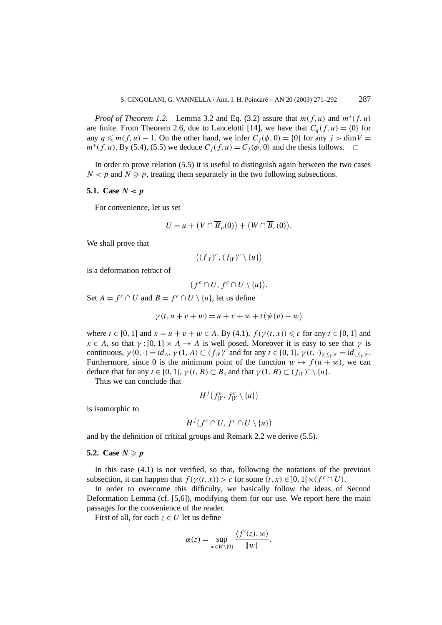*Proof of Theorem 1.2.* – Lemma 3.2 and Eq. (3.2) assure that  $m(f, u)$  and  $m^*(f, u)$ are finite. From Theorem 2.6, due to Lancelotti [14], we have that  $C_q(f, u) = \{0\}$  for any  $q \leq m(f, u) - 1$ . On the other hand, we infer  $C_j(\phi, 0) = \{0\}$  for any  $j > \dim V =$  $m^*(f, u)$ . By (5.4), (5.5) we deduce  $C_i(f, u) = C_i(\phi, 0)$  and the thesis follows.

In order to prove relation (5.5) it is useful to distinguish again between the two cases  $N < p$  and  $N \geq p$ , treating them separately in the two following subsections.

#### **5.1.** Case  $N < p$

For convenience, let us set

$$
U = u + (V \cap \overline{B}_{\rho}(0)) + (W \cap \overline{B}_{r}(0)).
$$

We shall prove that

$$
\left((f_{|Y})^c,(f_{|Y})^c\setminus\{u\}\right)
$$

is a deformation retract of

$$
(f^c \cap U, f^c \cap U \setminus \{u\}).
$$

Set  $A = f^c \cap U$  and  $B = f^c \cap U \setminus \{u\}$ , let us define

$$
\gamma(t, u + v + w) = u + v + w + t(\psi(v) - w)
$$

where  $t \in [0, 1]$  and  $x = u + v + w \in A$ . By (4.1),  $f(\gamma(t, x)) \leq c$  for any  $t \in [0, 1]$  and  $x \in A$ , so that  $\gamma$ : [0, 1]  $\times A \rightarrow A$  is well posed. Moreover it is easy to see that  $\gamma$  is continuous,  $\gamma(0, \cdot) = id_A$ ,  $\gamma(1, A) \subset (f_{|Y})^c$  and for any  $t \in [0, 1]$ ,  $\gamma(t, \cdot)_{|(f_{|Y})^c} = id_{(f_{|Y})^c}$ . Furthermore, since 0 is the minimum point of the function  $w \mapsto f(u + w)$ , we can deduce that for any  $t \in [0, 1]$ ,  $\gamma(t, B) \subset B$ , and that  $\gamma(1, B) \subset (f_{|Y})^c \setminus \{u\}.$ 

Thus we can conclude that

 $H^{j}(f_{|Y}^c, f_{|Y}^c \setminus \{u\})$ 

is isomorphic to

$$
H^j(f^c \cap U, f^c \cap U \setminus \{u\})
$$

and by the definition of critical groups and Remark 2.2 we derive (5.5).

#### **5.2.** Case  $N \geqslant p$

In this case (4.1) is not verified, so that, following the notations of the previous subsection, it can happen that  $f(\gamma(t, x)) > c$  for some  $(t, x) \in ]0, 1[ \times (f^c \cap U)]$ .

In order to overcome this difficulty, we basically follow the ideas of Second Deformation Lemma (cf. [5,6]), modifying them for our use. We report here the main passages for the convenience of the reader.

First of all, for each  $z \in U$  let us define

$$
\alpha(z) = \sup_{w \in W \setminus \{0\}} \frac{\langle f'(z), w \rangle}{\|w\|}.
$$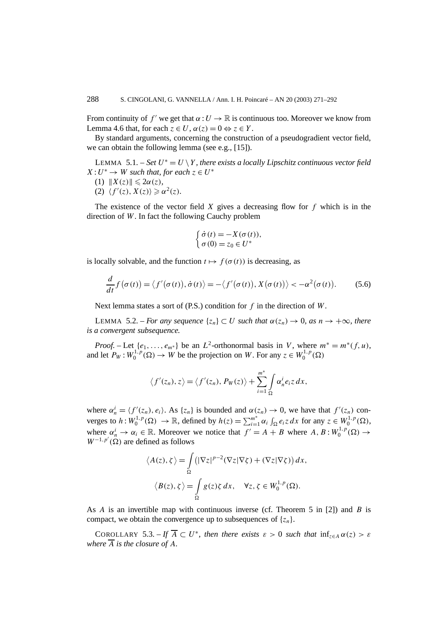From continuity of  $f'$  we get that  $\alpha: U \to \mathbb{R}$  is continuous too. Moreover we know from Lemma 4.6 that, for each  $z \in U$ ,  $\alpha(z) = 0 \Leftrightarrow z \in Y$ .

By standard arguments, concerning the construction of a pseudogradient vector field, we can obtain the following lemma (see e.g., [15]).

LEMMA 5.1. – *Set*  $U^* = U \setminus Y$ , there exists a locally Lipschitz continuous vector field  $X: U^* \to W$  *such that, for each*  $z \in U^*$ 

- $(1)$   $||X(z)|| \leq 2\alpha(z)$ ,
- (2)  $\langle f'(z), X(z) \rangle \geq \alpha^2(z)$ *.*

The existence of the vector field *X* gives a decreasing flow for *f* which is in the direction of *W*. In fact the following Cauchy problem

$$
\begin{cases} \dot{\sigma}(t) = -X(\sigma(t)), \\ \sigma(0) = z_0 \in U^* \end{cases}
$$

is locally solvable, and the function  $t \mapsto f(\sigma(t))$  is decreasing, as

$$
\frac{d}{dt}f(\sigma(t)) = \langle f'(\sigma(t)), \dot{\sigma}(t) \rangle = -\langle f'(\sigma(t)), X(\sigma(t)) \rangle < -\alpha^2(\sigma(t)).
$$
\n(5.6)

Next lemma states a sort of (P.S.) condition for *f* in the direction of *W*.

LEMMA 5.2. – *For any sequence*  $\{z_n\} \subset U$  *such that*  $\alpha(z_n) \to 0$ *, as*  $n \to +\infty$ *, there is a convergent subsequence.*

*Proof.* – Let  $\{e_1, \ldots, e_{m^*}\}$  be an  $L^2$ -orthonormal basis in *V*, where  $m^* = m^*(f, u)$ , and let  $P_W$ :  $W_0^{1,p}(\Omega) \to W$  be the projection on *W*. For any  $z \in W_0^{1,p}(\Omega)$ 

$$
\langle f'(z_n), z \rangle = \langle f'(z_n), P_W(z) \rangle + \sum_{i=1}^{m^*} \int_{\Omega} \alpha_n^i e_i z \, dx,
$$

where  $\alpha_n^i = \langle f'(z_n), e_i \rangle$ . As  $\{z_n\}$  is bounded and  $\alpha(z_n) \to 0$ , we have that  $f'(z_n)$  converges to  $h: W_0^{1,p}(\Omega) \to \mathbb{R}$ , defined by  $h(z) = \sum_{i=1}^{m^*} \alpha_i \int_{\Omega} e_i z dx$  for any  $z \in W_0^{1,p}(\Omega)$ , where  $\alpha_n^i \to \alpha_i \in \mathbb{R}$ . Moreover we notice that  $f' = A + B$  where  $A, B: W_0^{1,p}(\Omega) \to$  $W^{-1,p'}(\Omega)$  are defined as follows

$$
\langle A(z), \zeta \rangle = \int_{\Omega} \left( |\nabla z|^{p-2} (\nabla z | \nabla \zeta) + (\nabla z | \nabla \zeta) \right) dx,
$$
  

$$
\langle B(z), \zeta \rangle = \int_{\Omega} g(z) \zeta dx, \quad \forall z, \zeta \in W_0^{1, p}(\Omega).
$$

As *A* is an invertible map with continuous inverse (cf. Theorem 5 in [2]) and *B* is compact, we obtain the convergence up to subsequences of  $\{z_n\}$ .

COROLLARY 5.3. – *If*  $\overline{A} \subset U^*$ , then there exists  $\varepsilon > 0$  such that  $\inf_{z \in A} \alpha(z) > \varepsilon$ *where*  $\overline{A}$  *is the closure of A.*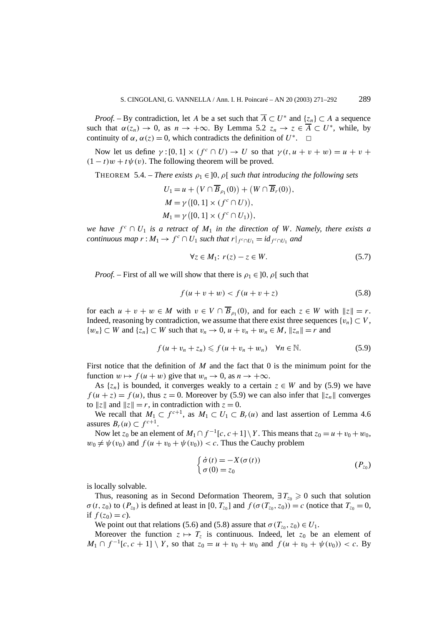*Proof.* – By contradiction, let *A* be a set such that  $\overline{A} \subset U^*$  and  $\{z_n\} \subset A$  a sequence such that  $\alpha(z_n) \to 0$ , as  $n \to +\infty$ . By Lemma 5.2  $z_n \to z \in \overline{A} \subset U^*$ , while, by continuity of  $\alpha$ ,  $\alpha(z) = 0$ , which contradicts the definition of  $U^*$ .  $\Box$ 

Now let us define  $\gamma$  :  $[0, 1] \times (f^c \cap U) \rightarrow U$  so that  $\gamma(t, u + v + w) = u + v + v$  $(1 - t)w + t\psi(v)$ . The following theorem will be proved.

THEOREM 5.4. – *There exists*  $\rho_1 \in ]0, \rho[$  *such that introducing the following sets* 

$$
U_1 = u + (V \cap \overline{B}_{\rho_1}(0)) + (W \cap \overline{B}_r(0))
$$
  
\n
$$
M = \gamma ([0, 1] \times (f^c \cap U)),
$$
  
\n
$$
M_1 = \gamma ([0, 1] \times (f^c \cap U_1)),
$$

*we have*  $f^c \cap U_1$  *is a retract of*  $M_1$  *in the direction of W. Namely, there exists a continuous map*  $r : M_1 \to f^c \cap U_1$  *such that*  $r|_{f^c \cap U_1} = id_{f^c \cap U_1}$  *and* 

$$
\forall z \in M_1 \colon r(z) - z \in W. \tag{5.7}
$$

*,*

*Proof.* – First of all we will show that there is  $\rho_1 \in [0, \rho]$  such that

$$
f(u + v + w) < f(u + v + z) \tag{5.8}
$$

for each  $u + v + w \in M$  with  $v \in V \cap \overline{B}_{\rho_1}(0)$ , and for each  $z \in W$  with  $||z|| = r$ . Indeed, reasoning by contradiction, we assume that there exist three sequences  $\{v_n\} \subset V$ ,  ${w_n}$  ⊂ *W* and  ${z_n}$  ⊂ *W* such that  $v_n \to 0$ ,  $u + v_n + w_n \in M$ ,  $||z_n|| = r$  and

$$
f(u + v_n + z_n) \leqslant f(u + v_n + w_n) \quad \forall n \in \mathbb{N}.
$$
 (5.9)

First notice that the definition of *M* and the fact that 0 is the minimum point for the function  $w \mapsto f(u+w)$  give that  $w_n \to 0$ , as  $n \to +\infty$ .

As  $\{z_n\}$  is bounded, it converges weakly to a certain  $z \in W$  and by (5.9) we have  $f(u + z) = f(u)$ , thus  $z = 0$ . Moreover by (5.9) we can also infer that  $||z_n||$  converges to  $||z||$  and  $||z|| = r$ , in contradiction with  $z = 0$ .

We recall that  $M_1 \subset f^{c+1}$ , as  $M_1 \subset U_1 \subset B_r(u)$  and last assertion of Lemma 4.6 assures *B<sub>r</sub>*(*u*) ⊂  $f^{c+1}$ .

Now let  $z_0$  be an element of  $M_1 \cap f^{-1}[c, c+1] \setminus Y$ . This means that  $z_0 = u + v_0 + w_0$ ,  $w_0 \neq \psi(v_0)$  and  $f(u + v_0 + \psi(v_0)) < c$ . Thus the Cauchy problem

$$
\begin{cases}\n\dot{\sigma}(t) = -X(\sigma(t)) \\
\sigma(0) = z_0\n\end{cases} \tag{P_{z_0}}
$$

is locally solvable.

Thus, reasoning as in Second Deformation Theorem,  $\exists T_{z_0} \geq 0$  such that solution  $\sigma(t, z_0)$  to  $(P_{z_0})$  is defined at least in  $[0, T_{z_0}]$  and  $f(\sigma(T_{z_0}, z_0)) = c$  (notice that  $T_{z_0} = 0$ , if  $f(z_0) = c$ .

We point out that relations (5.6) and (5.8) assure that  $\sigma(T_{z_0}, z_0) \in U_1$ .

Moreover the function  $z \mapsto T_z$  is continuous. Indeed, let  $z_0$  be an element of *M*<sub>1</sub> ∩ *f*<sup>-1</sup>[*c*, *c* + 1] \ *Y*, so that  $z_0 = u + v_0 + w_0$  and  $f(u + v_0 + \psi(v_0)) < c$ . By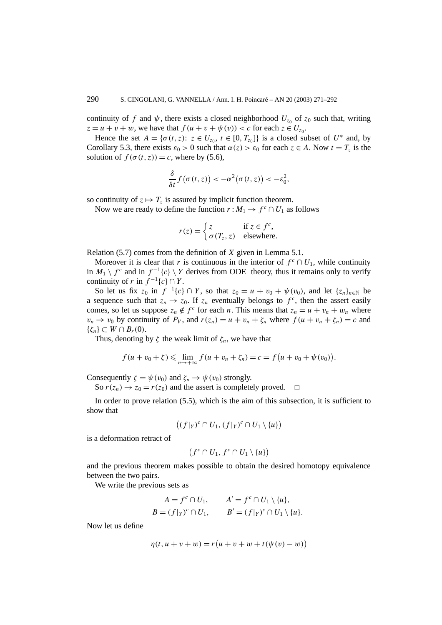continuity of *f* and  $\psi$ , there exists a closed neighborhood  $U_{z_0}$  of  $z_0$  such that, writing  $z = u + v + w$ , we have that  $f(u + v + \psi(v)) < c$  for each  $z \in U_{z_0}$ .

Hence the set  $A = \{\sigma(t, z): z \in U_{z_0}, t \in [0, T_{z_0}]\}$  is a closed subset of  $U^*$  and, by Corollary 5.3, there exists  $\varepsilon_0 > 0$  such that  $\alpha(z) > \varepsilon_0$  for each  $z \in A$ . Now  $t = T_z$  is the solution of  $f(\sigma(t, z)) = c$ , where by (5.6),

$$
\frac{\delta}{\delta t} f(\sigma(t,z)) < -\alpha^2 (\sigma(t,z)) < -\varepsilon_0^2,
$$

so continuity of  $z \mapsto T_z$  is assured by implicit function theorem.

Now we are ready to define the function  $r : M_1 \to f^c \cap U_1$  as follows

$$
r(z) = \begin{cases} z & \text{if } z \in f^c, \\ \sigma(T_z, z) & \text{elsewhere.} \end{cases}
$$

Relation (5.7) comes from the definition of *X* given in Lemma 5.1.

Moreover it is clear that *r* is continuous in the interior of  $f^c \cap U_1$ , while continuity in  $M_1 \setminus f^c$  and in  $f^{-1}{c} \setminus Y$  derives from ODE theory, thus it remains only to verify continuity of *r* in  $f^{-1}{c} \cap Y$ .

So let us fix  $z_0$  in  $f^{-1}{c} \cap Y$ , so that  $z_0 = u + v_0 + \psi(v_0)$ , and let  $\{z_n\}_{n \in \mathbb{N}}$  be a sequence such that  $z_n \to z_0$ . If  $z_n$  eventually belongs to  $f^c$ , then the assert easily comes, so let us suppose  $z_n \notin f^c$  for each *n*. This means that  $z_n = u + v_n + w_n$  where  $v_n \to v_0$  by continuity of  $P_V$ , and  $r(z_n) = u + v_n + \zeta_n$  where  $f(u + v_n + \zeta_n) = c$  and  $\{\zeta_n\} \subset W \cap B_r(0).$ 

Thus, denoting by  $\zeta$  the weak limit of  $\zeta_n$ , we have that

$$
f(u + v_0 + \zeta) \leq \lim_{n \to +\infty} f(u + v_n + \zeta_n) = c = f(u + v_0 + \psi(v_0)).
$$

Consequently  $\zeta = \psi(v_0)$  and  $\zeta_n \to \psi(v_0)$  strongly.

So  $r(z_n) \to z_0 = r(z_0)$  and the assert is completely proved.  $\Box$ 

In order to prove relation (5.5), which is the aim of this subsection, it is sufficient to show that

 $((f|_Y)^c ∩ U_1, (f|_Y)^c ∩ U_1 \setminus \{u\})$ 

is a deformation retract of

$$
(f^c \cap U_1, f^c \cap U_1 \setminus \{u\})
$$

and the previous theorem makes possible to obtain the desired homotopy equivalence between the two pairs.

We write the previous sets as

$$
A = f^c \cap U_1, \qquad A' = f^c \cap U_1 \setminus \{u\},
$$
  

$$
B = (f|_Y)^c \cap U_1, \qquad B' = (f|_Y)^c \cap U_1 \setminus \{u\}.
$$

Now let us define

$$
\eta(t, u + v + w) = r(u + v + w + t(\psi(v) - w))
$$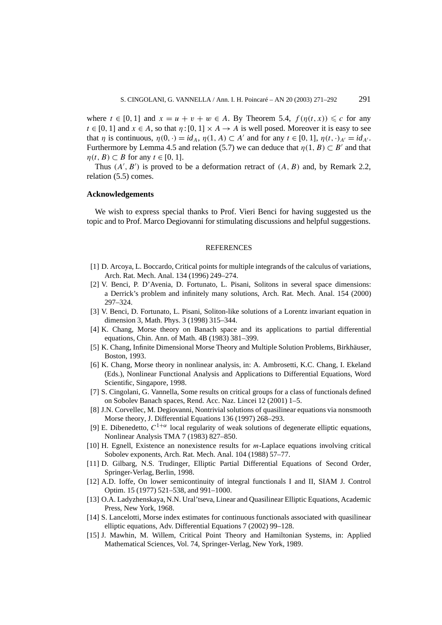where  $t \in [0, 1]$  and  $x = u + v + w \in A$ . By Theorem 5.4,  $f(\eta(t, x)) \leq c$  for any  $t \in [0, 1]$  and  $x \in A$ , so that  $\eta : [0, 1] \times A \rightarrow A$  is well posed. Moreover it is easy to see that *η* is continuous,  $\eta(0, \cdot) = id_A$ ,  $\eta(1, A) \subset A'$  and for any  $t \in [0, 1]$ ,  $\eta(t, \cdot)_{A'} = id_{A'}$ . Furthermore by Lemma 4.5 and relation (5.7) we can deduce that  $\eta(1, B) \subset B'$  and that  $n(t, B) \subset B$  for any  $t \in [0, 1]$ .

Thus  $(A', B')$  is proved to be a deformation retract of  $(A, B)$  and, by Remark 2.2, relation (5.5) comes.

#### **Acknowledgements**

We wish to express special thanks to Prof. Vieri Benci for having suggested us the topic and to Prof. Marco Degiovanni for stimulating discussions and helpful suggestions.

#### REFERENCES

- [1] D. Arcoya, L. Boccardo, Critical points for multiple integrands of the calculus of variations, Arch. Rat. Mech. Anal. 134 (1996) 249–274.
- [2] V. Benci, P. D'Avenia, D. Fortunato, L. Pisani, Solitons in several space dimensions: a Derrick's problem and infinitely many solutions, Arch. Rat. Mech. Anal. 154 (2000) 297–324.
- [3] V. Benci, D. Fortunato, L. Pisani, Soliton-like solutions of a Lorentz invariant equation in dimension 3, Math. Phys. 3 (1998) 315–344.
- [4] K. Chang, Morse theory on Banach space and its applications to partial differential equations, Chin. Ann. of Math. 4B (1983) 381–399.
- [5] K. Chang, Infinite Dimensional Morse Theory and Multiple Solution Problems, Birkhäuser, Boston, 1993.
- [6] K. Chang, Morse theory in nonlinear analysis, in: A. Ambrosetti, K.C. Chang, I. Ekeland (Eds.), Nonlinear Functional Analysis and Applications to Differential Equations, Word Scientific, Singapore, 1998.
- [7] S. Cingolani, G. Vannella, Some results on critical groups for a class of functionals defined on Sobolev Banach spaces, Rend. Acc. Naz. Lincei 12 (2001) 1–5.
- [8] J.N. Corvellec, M. Degiovanni, Nontrivial solutions of quasilinear equations via nonsmooth Morse theory, J. Differential Equations 136 (1997) 268–293.
- [9] E. Dibenedetto,  $C^{1+\alpha}$  local regularity of weak solutions of degenerate elliptic equations, Nonlinear Analysis TMA 7 (1983) 827–850.
- [10] H. Egnell, Existence an nonexistence results for *m*-Laplace equations involving critical Sobolev exponents, Arch. Rat. Mech. Anal. 104 (1988) 57–77.
- [11] D. Gilbarg, N.S. Trudinger, Elliptic Partial Differential Equations of Second Order, Springer-Verlag, Berlin, 1998.
- [12] A.D. Ioffe, On lower semicontinuity of integral functionals I and II, SIAM J. Control Optim. 15 (1977) 521–538, and 991–1000.
- [13] O.A. Ladyzhenskaya, N.N. Ural'tseva, Linear and Quasilinear Elliptic Equations, Academic Press, New York, 1968.
- [14] S. Lancelotti, Morse index estimates for continuous functionals associated with quasilinear elliptic equations, Adv. Differential Equations 7 (2002) 99–128.
- [15] J. Mawhin, M. Willem, Critical Point Theory and Hamiltonian Systems, in: Applied Mathematical Sciences, Vol. 74, Springer-Verlag, New York, 1989.